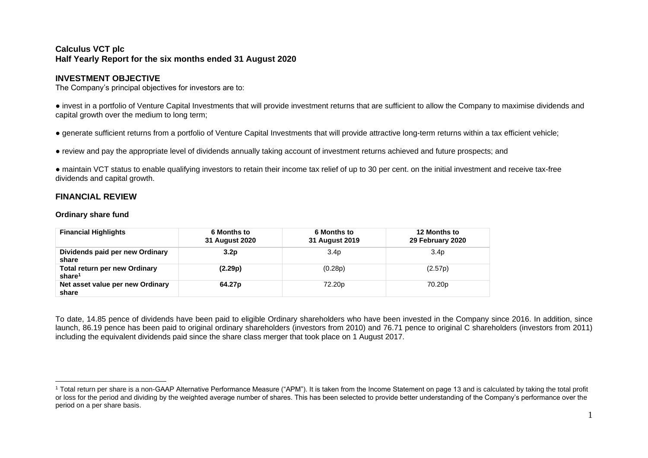# **Calculus VCT plc Half Yearly Report for the six months ended 31 August 2020**

# **INVESTMENT OBJECTIVE**

The Company's principal objectives for investors are to:

● invest in a portfolio of Venture Capital Investments that will provide investment returns that are sufficient to allow the Company to maximise dividends and capital growth over the medium to long term;

● generate sufficient returns from a portfolio of Venture Capital Investments that will provide attractive long-term returns within a tax efficient vehicle;

● review and pay the appropriate level of dividends annually taking account of investment returns achieved and future prospects; and

● maintain VCT status to enable qualifying investors to retain their income tax relief of up to 30 per cent. on the initial investment and receive tax-free dividends and capital growth.

# **FINANCIAL REVIEW**

# **Ordinary share fund**

| <b>Financial Highlights</b>                                | 6 Months to<br>31 August 2020 | <b>6 Months to</b><br>31 August 2019 | <b>12 Months to</b><br>29 February 2020 |
|------------------------------------------------------------|-------------------------------|--------------------------------------|-----------------------------------------|
| Dividends paid per new Ordinary<br>share                   | 3.2p                          | 3.4 <sub>p</sub>                     | 3.4 <sub>p</sub>                        |
| <b>Total return per new Ordinary</b><br>share <sup>1</sup> | (2.29p)                       | (0.28p)                              | (2.57p)                                 |
| Net asset value per new Ordinary<br>share                  | 64.27 <sub>p</sub>            | 72.20 <sub>p</sub>                   | 70.20p                                  |

To date, 14.85 pence of dividends have been paid to eligible Ordinary shareholders who have been invested in the Company since 2016. In addition, since launch, 86.19 pence has been paid to original ordinary shareholders (investors from 2010) and 76.71 pence to original C shareholders (investors from 2011) including the equivalent dividends paid since the share class merger that took place on 1 August 2017.

<sup>1</sup> Total return per share is a non-GAAP Alternative Performance Measure ("APM"). It is taken from the Income Statement on page 13 and is calculated by taking the total profit or loss for the period and dividing by the weighted average number of shares. This has been selected to provide better understanding of the Company's performance over the period on a per share basis.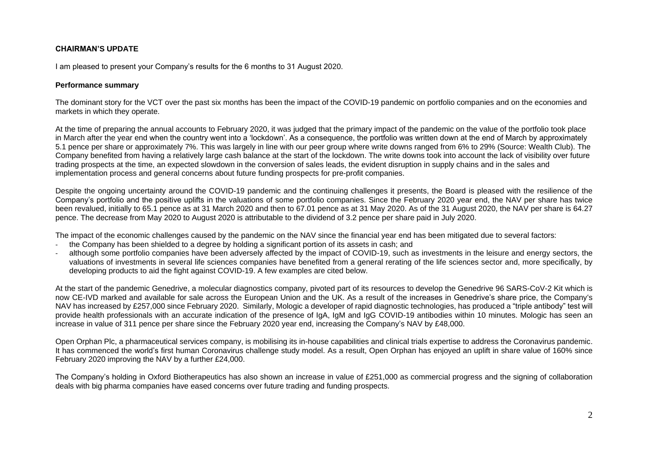# **CHAIRMAN'S UPDATE**

I am pleased to present your Company's results for the 6 months to 31 August 2020.

#### **Performance summary**

The dominant story for the VCT over the past six months has been the impact of the COVID-19 pandemic on portfolio companies and on the economies and markets in which they operate.

At the time of preparing the annual accounts to February 2020, it was judged that the primary impact of the pandemic on the value of the portfolio took place in March after the year end when the country went into a 'lockdown'. As a consequence, the portfolio was written down at the end of March by approximately 5.1 pence per share or approximately 7%. This was largely in line with our peer group where write downs ranged from 6% to 29% (Source: Wealth Club). The Company benefited from having a relatively large cash balance at the start of the lockdown. The write downs took into account the lack of visibility over future trading prospects at the time, an expected slowdown in the conversion of sales leads, the evident disruption in supply chains and in the sales and implementation process and general concerns about future funding prospects for pre-profit companies.

Despite the ongoing uncertainty around the COVID-19 pandemic and the continuing challenges it presents, the Board is pleased with the resilience of the Company's portfolio and the positive uplifts in the valuations of some portfolio companies. Since the February 2020 year end, the NAV per share has twice been revalued, initially to 65.1 pence as at 31 March 2020 and then to 67.01 pence as at 31 May 2020. As of the 31 August 2020, the NAV per share is 64.27 pence. The decrease from May 2020 to August 2020 is attributable to the dividend of 3.2 pence per share paid in July 2020.

The impact of the economic challenges caused by the pandemic on the NAV since the financial year end has been mitigated due to several factors:

- the Company has been shielded to a degree by holding a significant portion of its assets in cash; and
- although some portfolio companies have been adversely affected by the impact of COVID-19, such as investments in the leisure and energy sectors, the valuations of investments in several life sciences companies have benefited from a general rerating of the life sciences sector and, more specifically, by developing products to aid the fight against COVID-19. A few examples are cited below.

At the start of the pandemic Genedrive, a molecular diagnostics company, pivoted part of its resources to develop the Genedrive 96 SARS-CoV-2 Kit which is now CE-IVD marked and available for sale across the European Union and the UK. As a result of the increases in Genedrive's share price, the Company's NAV has increased by £257,000 since February 2020. Similarly, Mologic a developer of rapid diagnostic technologies, has produced a "triple antibody" test will provide health professionals with an accurate indication of the presence of IgA, IgM and IgG COVID-19 antibodies within 10 minutes. Mologic has seen an increase in value of 311 pence per share since the February 2020 year end, increasing the Company's NAV by £48,000.

Open Orphan Plc, a pharmaceutical services company, is mobilising its in-house capabilities and clinical trials expertise to address the Coronavirus pandemic. It has commenced the world's first human Coronavirus challenge study model. As a result, Open Orphan has enjoyed an uplift in share value of 160% since February 2020 improving the NAV by a further £24,000.

The Company's holding in Oxford Biotherapeutics has also shown an increase in value of £251,000 as commercial progress and the signing of collaboration deals with big pharma companies have eased concerns over future trading and funding prospects.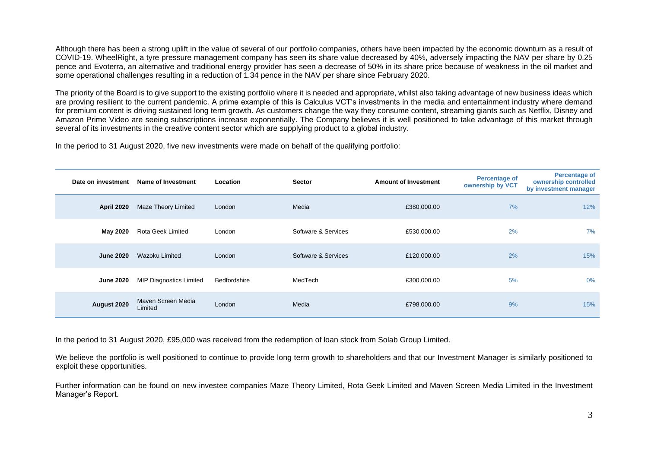Although there has been a strong uplift in the value of several of our portfolio companies, others have been impacted by the economic downturn as a result of COVID-19. WheelRight, a tyre pressure management company has seen its share value decreased by 40%, adversely impacting the NAV per share by 0.25 pence and Evoterra, an alternative and traditional energy provider has seen a decrease of 50% in its share price because of weakness in the oil market and some operational challenges resulting in a reduction of 1.34 pence in the NAV per share since February 2020.

The priority of the Board is to give support to the existing portfolio where it is needed and appropriate, whilst also taking advantage of new business ideas which are proving resilient to the current pandemic. A prime example of this is Calculus VCT's investments in the media and entertainment industry where demand for premium content is driving sustained long term growth. As customers change the way they consume content, streaming giants such as Netflix, Disney and Amazon Prime Video are seeing subscriptions increase exponentially. The Company believes it is well positioned to take advantage of this market through several of its investments in the creative content sector which are supplying product to a global industry.

In the period to 31 August 2020, five new investments were made on behalf of the qualifying portfolio:

| Date on investment | <b>Name of Investment</b>      | <b>Location</b> | <b>Sector</b>       | <b>Amount of Investment</b> | <b>Percentage of</b><br>ownership by VCT | <b>Percentage of</b><br>ownership controlled<br>by investment manager |
|--------------------|--------------------------------|-----------------|---------------------|-----------------------------|------------------------------------------|-----------------------------------------------------------------------|
| <b>April 2020</b>  | Maze Theory Limited            | London          | Media               | £380,000.00                 | 7%                                       | 12%                                                                   |
| May 2020           | Rota Geek Limited              | London          | Software & Services | £530,000.00                 | 2%                                       | 7%                                                                    |
| <b>June 2020</b>   | Wazoku Limited                 | London          | Software & Services | £120,000.00                 | 2%                                       | 15%                                                                   |
| <b>June 2020</b>   | <b>MIP Diagnostics Limited</b> | Bedfordshire    | MedTech             | £300,000.00                 | 5%                                       | $0\%$                                                                 |
| August 2020        | Maven Screen Media<br>Limited  | London          | Media               | £798,000.00                 | 9%                                       | 15%                                                                   |

In the period to 31 August 2020, £95,000 was received from the redemption of loan stock from Solab Group Limited.

We believe the portfolio is well positioned to continue to provide long term growth to shareholders and that our Investment Manager is similarly positioned to exploit these opportunities.

Further information can be found on new investee companies Maze Theory Limited, Rota Geek Limited and Maven Screen Media Limited in the Investment Manager's Report.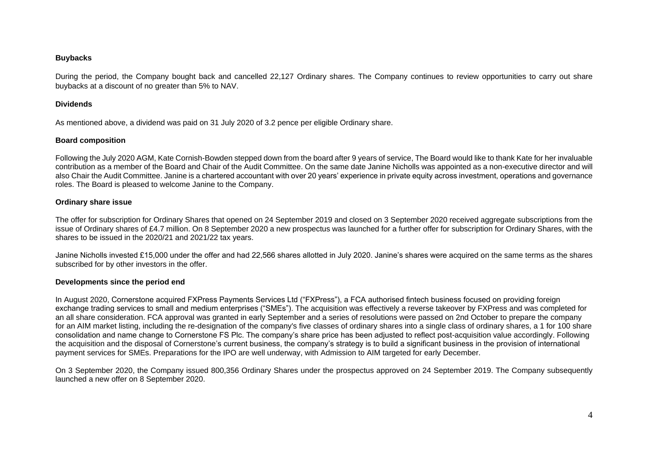# **Buybacks**

During the period, the Company bought back and cancelled 22,127 Ordinary shares. The Company continues to review opportunities to carry out share buybacks at a discount of no greater than 5% to NAV.

# **Dividends**

As mentioned above, a dividend was paid on 31 July 2020 of 3.2 pence per eligible Ordinary share.

# **Board composition**

Following the July 2020 AGM, Kate Cornish-Bowden stepped down from the board after 9 years of service, The Board would like to thank Kate for her invaluable contribution as a member of the Board and Chair of the Audit Committee. On the same date Janine Nicholls was appointed as a non-executive director and will also Chair the Audit Committee. Janine is a chartered accountant with over 20 years' experience in private equity across investment, operations and governance roles. The Board is pleased to welcome Janine to the Company.

# **Ordinary share issue**

The offer for subscription for Ordinary Shares that opened on 24 September 2019 and closed on 3 September 2020 received aggregate subscriptions from the issue of Ordinary shares of £4.7 million. On 8 September 2020 a new prospectus was launched for a further offer for subscription for Ordinary Shares, with the shares to be issued in the 2020/21 and 2021/22 tax years.

Janine Nicholls invested £15,000 under the offer and had 22,566 shares allotted in July 2020. Janine's shares were acquired on the same terms as the shares subscribed for by other investors in the offer.

#### **Developments since the period end**

In August 2020, Cornerstone acquired FXPress Payments Services Ltd ("FXPress"), a FCA authorised fintech business focused on providing foreign exchange trading services to small and medium enterprises ("SMEs"). The acquisition was effectively a reverse takeover by FXPress and was completed for an all share consideration. FCA approval was granted in early September and a series of resolutions were passed on 2nd October to prepare the company for an AIM market listing, including the re-designation of the company's five classes of ordinary shares into a single class of ordinary shares, a 1 for 100 share consolidation and name change to Cornerstone FS Plc. The company's share price has been adjusted to reflect post-acquisition value accordingly. Following the acquisition and the disposal of Cornerstone's current business, the company's strategy is to build a significant business in the provision of international payment services for SMEs. Preparations for the IPO are well underway, with Admission to AIM targeted for early December.

On 3 September 2020, the Company issued 800,356 Ordinary Shares under the prospectus approved on 24 September 2019. The Company subsequently launched a new offer on 8 September 2020.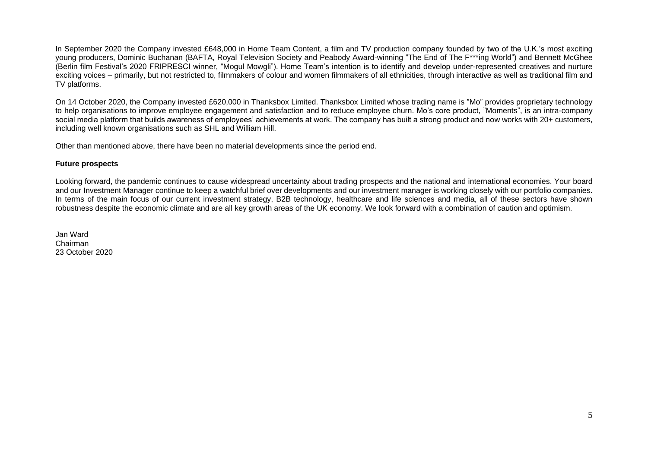In September 2020 the Company invested £648,000 in Home Team Content, a film and TV production company founded by two of the U.K.'s most exciting young producers, Dominic Buchanan (BAFTA, Royal Television Society and Peabody Award-winning "The End of The F\*\*\*ing World") and Bennett McGhee (Berlin film Festival's 2020 FRIPRESCI winner, "Mogul Mowgli"). Home Team's intention is to identify and develop under-represented creatives and nurture exciting voices – primarily, but not restricted to, filmmakers of colour and women filmmakers of all ethnicities, through interactive as well as traditional film and TV platforms.

On 14 October 2020, the Company invested £620,000 in Thanksbox Limited. Thanksbox Limited whose trading name is "Mo" provides proprietary technology to help organisations to improve employee engagement and satisfaction and to reduce employee churn. Mo's core product, "Moments", is an intra-company social media platform that builds awareness of employees' achievements at work. The company has built a strong product and now works with 20+ customers, including well known organisations such as SHL and William Hill.

Other than mentioned above, there have been no material developments since the period end.

#### **Future prospects**

Looking forward, the pandemic continues to cause widespread uncertainty about trading prospects and the national and international economies. Your board and our Investment Manager continue to keep a watchful brief over developments and our investment manager is working closely with our portfolio companies. In terms of the main focus of our current investment strategy, B2B technology, healthcare and life sciences and media, all of these sectors have shown robustness despite the economic climate and are all key growth areas of the UK economy. We look forward with a combination of caution and optimism.

Jan Ward Chairman 23 October 2020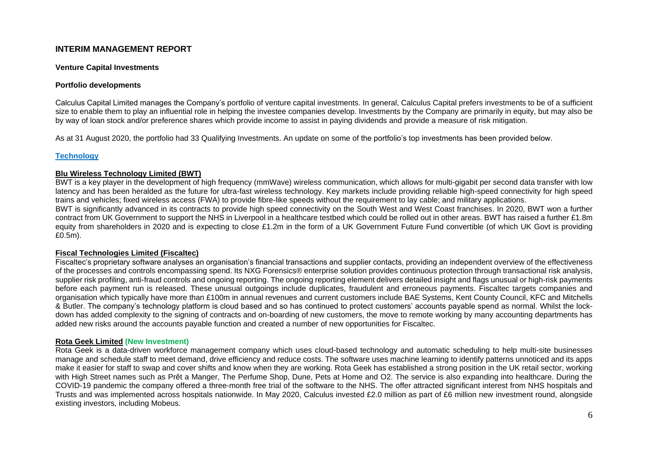# **INTERIM MANAGEMENT REPORT**

#### **Venture Capital Investments**

#### **Portfolio developments**

Calculus Capital Limited manages the Company's portfolio of venture capital investments. In general, Calculus Capital prefers investments to be of a sufficient size to enable them to play an influential role in helping the investee companies develop. Investments by the Company are primarily in equity, but may also be by way of loan stock and/or preference shares which provide income to assist in paying dividends and provide a measure of risk mitigation.

As at 31 August 2020, the portfolio had 33 Qualifying Investments. An update on some of the portfolio's top investments has been provided below.

#### **Technology**

# **Blu Wireless Technology Limited (BWT)**

BWT is a key player in the development of high frequency (mmWave) wireless communication, which allows for multi-gigabit per second data transfer with low latency and has been heralded as the future for ultra-fast wireless technology. Key markets include providing reliable high-speed connectivity for high speed trains and vehicles; fixed wireless access (FWA) to provide fibre-like speeds without the requirement to lay cable; and military applications.

BWT is significantly advanced in its contracts to provide high speed connectivity on the South West and West Coast franchises. In 2020, BWT won a further contract from UK Government to support the NHS in Liverpool in a healthcare testbed which could be rolled out in other areas. BWT has raised a further £1.8m equity from shareholders in 2020 and is expecting to close £1.2m in the form of a UK Government Future Fund convertible (of which UK Govt is providing £0.5m).

#### **Fiscal Technologies Limited (Fiscaltec)**

Fiscaltec's proprietary software analyses an organisation's financial transactions and supplier contacts, providing an independent overview of the effectiveness of the processes and controls encompassing spend. Its NXG Forensics® enterprise solution provides continuous protection through transactional risk analysis, supplier risk profiling, anti-fraud controls and ongoing reporting. The ongoing reporting element delivers detailed insight and flags unusual or high-risk payments before each payment run is released. These unusual outgoings include duplicates, fraudulent and erroneous payments. Fiscaltec targets companies and organisation which typically have more than £100m in annual revenues and current customers include BAE Systems, Kent County Council, KFC and Mitchells & Butler. The company's technology platform is cloud based and so has continued to protect customers' accounts payable spend as normal. Whilst the lockdown has added complexity to the signing of contracts and on-boarding of new customers, the move to remote working by many accounting departments has added new risks around the accounts payable function and created a number of new opportunities for Fiscaltec.

#### **Rota Geek Limited (New Investment)**

Rota Geek is a data-driven workforce management company which uses cloud-based technology and automatic scheduling to help multi-site businesses manage and schedule staff to meet demand, drive efficiency and reduce costs. The software uses machine learning to identify patterns unnoticed and its apps make it easier for staff to swap and cover shifts and know when they are working. Rota Geek has established a strong position in the UK retail sector, working with High Street names such as Prêt a Manger, The Perfume Shop, Dune, Pets at Home and O2. The service is also expanding into healthcare. During the COVID-19 pandemic the company offered a three-month free trial of the software to the NHS. The offer attracted significant interest from NHS hospitals and Trusts and was implemented across hospitals nationwide. In May 2020, Calculus invested £2.0 million as part of £6 million new investment round, alongside existing investors, including Mobeus.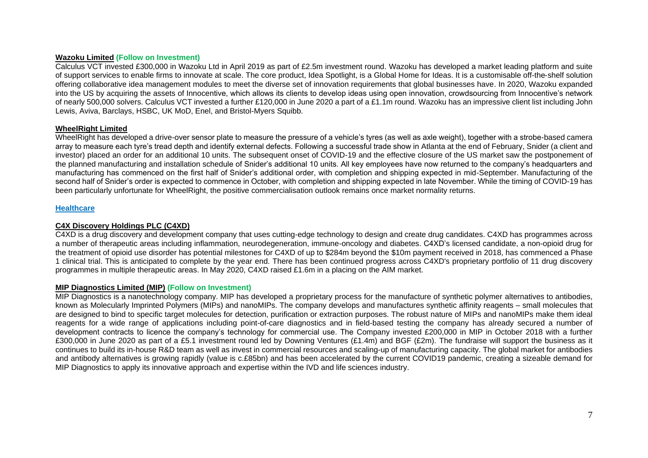#### **Wazoku Limited (Follow on Investment)**

Calculus VCT invested £300,000 in Wazoku Ltd in April 2019 as part of £2.5m investment round. Wazoku has developed a market leading platform and suite of support services to enable firms to innovate at scale. The core product, Idea Spotlight, is a Global Home for Ideas. It is a customisable off-the‐shelf solution offering collaborative idea management modules to meet the diverse set of innovation requirements that global businesses have. In 2020, Wazoku expanded into the US by acquiring the assets of Innocentive, which allows its clients to develop ideas using open innovation, crowdsourcing from Innocentive's network of nearly 500,000 solvers. Calculus VCT invested a further £120,000 in June 2020 a part of a £1.1m round. Wazoku has an impressive client list including John Lewis, Aviva, Barclays, HSBC, UK MoD, Enel, and Bristol-Myers Squibb.

#### **WheelRight Limited**

WheelRight has developed a drive-over sensor plate to measure the pressure of a vehicle's tyres (as well as axle weight), together with a strobe-based camera array to measure each tyre's tread depth and identify external defects. Following a successful trade show in Atlanta at the end of February, Snider (a client and investor) placed an order for an additional 10 units. The subsequent onset of COVID-19 and the effective closure of the US market saw the postponement of the planned manufacturing and installation schedule of Snider's additional 10 units. All key employees have now returned to the company's headquarters and manufacturing has commenced on the first half of Snider's additional order, with completion and shipping expected in mid-September. Manufacturing of the second half of Snider's order is expected to commence in October, with completion and shipping expected in late November. While the timing of COVID-19 has been particularly unfortunate for WheelRight, the positive commercialisation outlook remains once market normality returns.

#### **Healthcare**

# **C4X Discovery Holdings PLC (C4XD)**

C4XD is a drug discovery and development company that uses cutting-edge technology to design and create drug candidates. C4XD has programmes across a number of therapeutic areas including inflammation, neurodegeneration, immune-oncology and diabetes. C4XD's licensed candidate, a non-opioid drug for the treatment of opioid use disorder has potential milestones for C4XD of up to \$284m beyond the \$10m payment received in 2018, has commenced a Phase 1 clinical trial. This is anticipated to complete by the year end. There has been continued progress across C4XD's proprietary portfolio of 11 drug discovery programmes in multiple therapeutic areas. In May 2020, C4XD raised £1.6m in a placing on the AIM market.

# **MIP Diagnostics Limited (MIP) (Follow on Investment)**

MIP Diagnostics is a nanotechnology company. MIP has developed a proprietary process for the manufacture of synthetic polymer alternatives to antibodies, known as Molecularly Imprinted Polymers (MIPs) and nanoMIPs. The company develops and manufactures synthetic affinity reagents – small molecules that are designed to bind to specific target molecules for detection, purification or extraction purposes. The robust nature of MIPs and nanoMIPs make them ideal reagents for a wide range of applications including point-of-care diagnostics and in field-based testing the company has already secured a number of development contracts to licence the company's technology for commercial use. The Company invested £200,000 in MIP in October 2018 with a further £300,000 in June 2020 as part of a £5.1 investment round led by Downing Ventures (£1.4m) and BGF (£2m). The fundraise will support the business as it continues to build its in-house R&D team as well as invest in commercial resources and scaling-up of manufacturing capacity. The global market for antibodies and antibody alternatives is growing rapidly (value is c.£85bn) and has been accelerated by the current COVID19 pandemic, creating a sizeable demand for MIP Diagnostics to apply its innovative approach and expertise within the IVD and life sciences industry.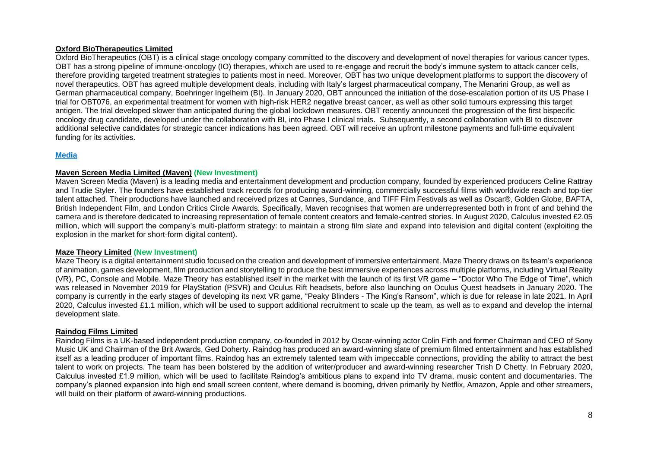# **Oxford BioTherapeutics Limited**

Oxford BioTherapeutics (OBT) is a clinical stage oncology company committed to the discovery and development of novel therapies for various cancer types. OBT has a strong pipeline of immune-oncology (IO) therapies, whixch are used to re-engage and recruit the body's immune system to attack cancer cells, therefore providing targeted treatment strategies to patients most in need. Moreover, OBT has two unique development platforms to support the discovery of novel therapeutics. OBT has agreed multiple development deals, including with Italy's largest pharmaceutical company, The Menarini Group, as well as German pharmaceutical company, Boehringer Ingelheim (BI). In January 2020, OBT announced the initiation of the dose-escalation portion of its US Phase I trial for OBT076, an experimental treatment for women with high-risk HER2 negative breast cancer, as well as other solid tumours expressing this target antigen. The trial developed slower than anticipated during the global lockdown measures. OBT recently announced the progression of the first bispecific oncology drug candidate, developed under the collaboration with BI, into Phase I clinical trials. Subsequently, a second collaboration with BI to discover additional selective candidates for strategic cancer indications has been agreed. OBT will receive an upfront milestone payments and full-time equivalent funding for its activities.

# **Media**

#### **Maven Screen Media Limited (Maven) (New Investment)**

Maven Screen Media (Maven) is a leading media and entertainment development and production company, founded by experienced producers Celine Rattray and Trudie Styler. The founders have established track records for producing award-winning, commercially successful films with worldwide reach and top-tier talent attached. Their productions have launched and received prizes at Cannes, Sundance, and TIFF Film Festivals as well as Oscar®, Golden Globe, BAFTA, British Independent Film, and London Critics Circle Awards. Specifically, Maven recognises that women are underrepresented both in front of and behind the camera and is therefore dedicated to increasing representation of female content creators and female-centred stories. In August 2020, Calculus invested £2.05 million, which will support the company's multi-platform strategy: to maintain a strong film slate and expand into television and digital content (exploiting the explosion in the market for short-form digital content).

#### **Maze Theory Limited (New Investment)**

Maze Theory is a digital entertainment studio focused on the creation and development of immersive entertainment. Maze Theory draws on its team's experience of animation, games development, film production and storytelling to produce the best immersive experiences across multiple platforms, including Virtual Reality (VR), PC, Console and Mobile. Maze Theory has established itself in the market with the launch of its first VR game – "Doctor Who The Edge of Time", which was released in November 2019 for PlayStation (PSVR) and Oculus Rift headsets, before also launching on Oculus Quest headsets in January 2020. The company is currently in the early stages of developing its next VR game, "Peaky Blinders - The King's Ransom", which is due for release in late 2021. In April 2020, Calculus invested £1.1 million, which will be used to support additional recruitment to scale up the team, as well as to expand and develop the internal development slate.

#### **Raindog Films Limited**

Raindog Films is a UK-based independent production company, co-founded in 2012 by Oscar-winning actor Colin Firth and former Chairman and CEO of Sony Music UK and Chairman of the Brit Awards, Ged Doherty. Raindog has produced an award-winning slate of premium filmed entertainment and has established itself as a leading producer of important films. Raindog has an extremely talented team with impeccable connections, providing the ability to attract the best talent to work on projects. The team has been bolstered by the addition of writer/producer and award-winning researcher Trish D Chetty. In February 2020, Calculus invested £1.9 million, which will be used to facilitate Raindog's ambitious plans to expand into TV drama, music content and documentaries. The company's planned expansion into high end small screen content, where demand is booming, driven primarily by Netflix, Amazon, Apple and other streamers, will build on their platform of award-winning productions.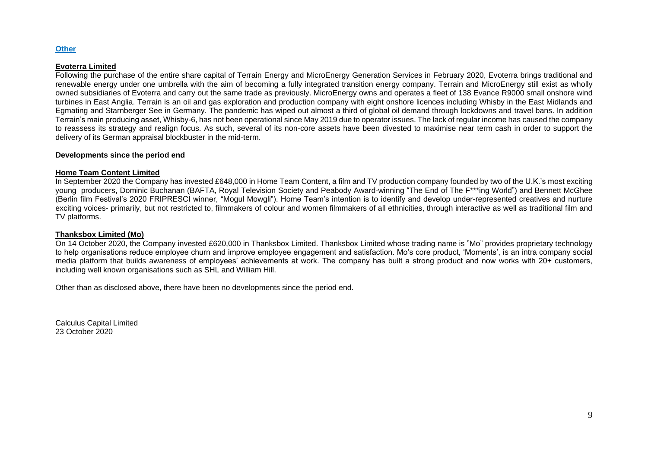#### **Other**

#### **Evoterra Limited**

Following the purchase of the entire share capital of Terrain Energy and MicroEnergy Generation Services in February 2020, Evoterra brings traditional and renewable energy under one umbrella with the aim of becoming a fully integrated transition energy company. Terrain and MicroEnergy still exist as wholly owned subsidiaries of Evoterra and carry out the same trade as previously. MicroEnergy owns and operates a fleet of 138 Evance R9000 small onshore wind turbines in East Anglia. Terrain is an oil and gas exploration and production company with eight onshore licences including Whisby in the East Midlands and Egmating and Starnberger See in Germany. The pandemic has wiped out almost a third of global oil demand through lockdowns and travel bans. In addition Terrain's main producing asset, Whisby-6, has not been operational since May 2019 due to operator issues. The lack of regular income has caused the company to reassess its strategy and realign focus. As such, several of its non-core assets have been divested to maximise near term cash in order to support the delivery of its German appraisal blockbuster in the mid-term.

#### **Developments since the period end**

#### **Home Team Content Limited**

In September 2020 the Company has invested £648,000 in Home Team Content, a film and TV production company founded by two of the U.K.'s most exciting young producers, Dominic Buchanan (BAFTA, Royal Television Society and Peabody Award-winning "The End of The F\*\*\*ing World") and Bennett McGhee (Berlin film Festival's 2020 FRIPRESCI winner, "Mogul Mowgli"). Home Team's intention is to identify and develop under-represented creatives and nurture exciting voices- primarily, but not restricted to, filmmakers of colour and women filmmakers of all ethnicities, through interactive as well as traditional film and TV platforms.

#### **Thanksbox Limited (Mo)**

On 14 October 2020, the Company invested £620,000 in Thanksbox Limited. Thanksbox Limited whose trading name is "Mo" provides proprietary technology to help organisations reduce employee churn and improve employee engagement and satisfaction. Mo's core product, 'Moments', is an intra company social media platform that builds awareness of employees' achievements at work. The company has built a strong product and now works with 20+ customers, including well known organisations such as SHL and William Hill.

Other than as disclosed above, there have been no developments since the period end.

Calculus Capital Limited 23 October 2020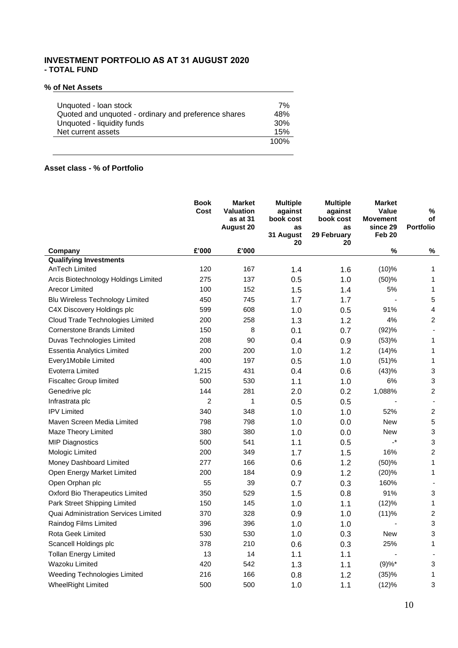# **INVESTMENT PORTFOLIO AS AT 31 AUGUST 2020 - TOTAL FUND**

# **% of Net Assets**

| Unquoted - Ioan stock                                | 7%              |
|------------------------------------------------------|-----------------|
| Quoted and unquoted - ordinary and preference shares | 48%             |
| Unquoted - liquidity funds                           | 30 <sup>%</sup> |
| Net current assets                                   | 15%             |
|                                                      | 100%            |

# **Asset class - % of Portfolio**

|                                        | <b>Book</b><br>Cost | <b>Market</b><br><b>Valuation</b><br>as at 31<br><b>August 20</b> | <b>Multiple</b><br>against<br>book cost<br>as<br>31 August<br>20 | <b>Multiple</b><br>against<br>book cost<br>as<br>29 February<br>20 | <b>Market</b><br><b>Value</b><br><b>Movement</b><br>since 29<br>Feb 20 | %<br>οf<br><b>Portfolio</b> |
|----------------------------------------|---------------------|-------------------------------------------------------------------|------------------------------------------------------------------|--------------------------------------------------------------------|------------------------------------------------------------------------|-----------------------------|
| Company                                | £'000               | £'000                                                             |                                                                  |                                                                    | $\%$                                                                   | %                           |
| <b>Qualifying Investments</b>          |                     |                                                                   |                                                                  |                                                                    |                                                                        |                             |
| AnTech Limited                         | 120                 | 167                                                               | 1.4                                                              | 1.6                                                                | (10)%                                                                  | 1                           |
| Arcis Biotechnology Holdings Limited   | 275                 | 137                                                               | 0.5                                                              | 1.0                                                                | (50)%                                                                  | 1                           |
| Arecor Limited                         | 100                 | 152                                                               | 1.5                                                              | 1.4                                                                | 5%                                                                     | 1                           |
| Blu Wireless Technology Limited        | 450                 | 745                                                               | 1.7                                                              | 1.7                                                                |                                                                        | 5                           |
| C4X Discovery Holdings plc             | 599                 | 608                                                               | 1.0                                                              | 0.5                                                                | 91%                                                                    | $\overline{\mathbf{4}}$     |
| Cloud Trade Technologies Limited       | 200                 | 258                                                               | 1.3                                                              | 1.2                                                                | 4%                                                                     | $\overline{c}$              |
| <b>Cornerstone Brands Limited</b>      | 150                 | 8                                                                 | 0.1                                                              | 0.7                                                                | (92)%                                                                  |                             |
| Duvas Technologies Limited             | 208                 | 90                                                                | 0.4                                                              | 0.9                                                                | (53)%                                                                  | 1                           |
| Essentia Analytics Limited             | 200                 | 200                                                               | 1.0                                                              | 1.2                                                                | (14)%                                                                  | 1                           |
| Every1Mobile Limited                   | 400                 | 197                                                               | 0.5                                                              | 1.0                                                                | (51)%                                                                  | $\mathbf{1}$                |
| Evoterra Limited                       | 1,215               | 431                                                               | 0.4                                                              | 0.6                                                                | (43)%                                                                  | $\mathbf{3}$                |
| <b>Fiscaltec Group limited</b>         | 500                 | 530                                                               | 1.1                                                              | 1.0                                                                | 6%                                                                     | $\mathfrak{S}$              |
| Genedrive plc                          | 144                 | 281                                                               | 2.0                                                              | 0.2                                                                | 1,088%                                                                 | $\overline{a}$              |
| Infrastrata plc                        | $\overline{c}$      | $\mathbf{1}$                                                      | 0.5                                                              | 0.5                                                                |                                                                        |                             |
| <b>IPV Limited</b>                     | 340                 | 348                                                               | 1.0                                                              | 1.0                                                                | 52%                                                                    | $\overline{c}$              |
| Maven Screen Media Limited             | 798                 | 798                                                               | 1.0                                                              | 0.0                                                                | <b>New</b>                                                             | $\sqrt{5}$                  |
| Maze Theory Limited                    | 380                 | 380                                                               | 1.0                                                              | 0.0                                                                | <b>New</b>                                                             | $\mathbf{3}$                |
| <b>MIP Diagnostics</b>                 | 500                 | 541                                                               | 1.1                                                              | 0.5                                                                | $\cdot^*$                                                              | $\ensuremath{\mathsf{3}}$   |
| Mologic Limited                        | 200                 | 349                                                               | 1.7                                                              | 1.5                                                                | 16%                                                                    | $\overline{a}$              |
| Money Dashboard Limited                | 277                 | 166                                                               | 0.6                                                              | 1.2                                                                | (50)%                                                                  | 1                           |
| Open Energy Market Limited             | 200                 | 184                                                               | 0.9                                                              | 1.2                                                                | (20)%                                                                  | 1                           |
| Open Orphan plc                        | 55                  | 39                                                                | 0.7                                                              | 0.3                                                                | 160%                                                                   |                             |
| <b>Oxford Bio Therapeutics Limited</b> | 350                 | 529                                                               | 1.5                                                              | 0.8                                                                | 91%                                                                    | $\mathbf{3}$                |
| Park Street Shipping Limited           | 150                 | 145                                                               | 1.0                                                              | 1.1                                                                | (12)%                                                                  | 1                           |
| Quai Administration Services Limited   | 370                 | 328                                                               | 0.9                                                              | 1.0                                                                | (11)%                                                                  | $\boldsymbol{2}$            |
| Raindog Films Limited                  | 396                 | 396                                                               | 1.0                                                              | 1.0                                                                |                                                                        | $\mathfrak{S}$              |
| Rota Geek Limited                      | 530                 | 530                                                               | 1.0                                                              | 0.3                                                                | <b>New</b>                                                             | 3                           |
| Scancell Holdings plc                  | 378                 | 210                                                               | 0.6                                                              | 0.3                                                                | 25%                                                                    | 1                           |
| <b>Tollan Energy Limited</b>           | 13                  | 14                                                                | 1.1                                                              | 1.1                                                                |                                                                        |                             |
| Wazoku Limited                         | 420                 | 542                                                               | 1.3                                                              | 1.1                                                                | $(9) \%$ *                                                             | 3                           |
| Weeding Technologies Limited           | 216                 | 166                                                               | 0.8                                                              | 1.2                                                                | (35)%                                                                  | $\mathbf{1}$                |
| <b>WheelRight Limited</b>              | 500                 | 500                                                               | 1.0                                                              | 1.1                                                                | (12)%                                                                  | $\mathfrak{S}$              |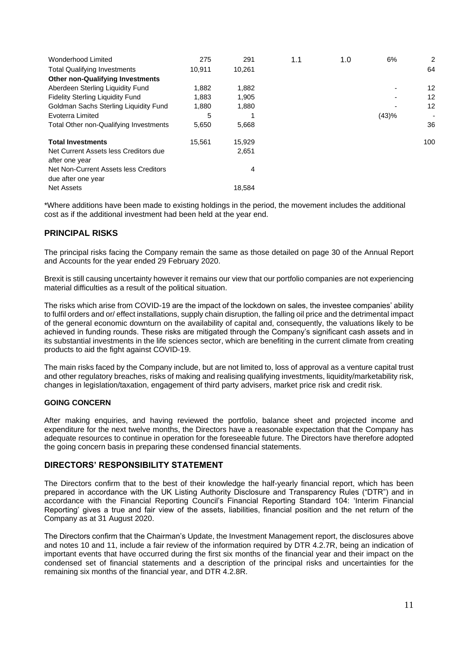| 275    | 291    | 1.1 | 1.0 | 6%    | $\overline{2}$ |
|--------|--------|-----|-----|-------|----------------|
| 10,911 | 10,261 |     |     |       | 64             |
|        |        |     |     |       |                |
| 1,882  | 1,882  |     |     |       | 12             |
| 1,883  | 1,905  |     |     |       | 12             |
| 1,880  | 1,880  |     |     |       | 12             |
| 5      |        |     |     | (43)% |                |
| 5,650  | 5,668  |     |     |       | 36             |
| 15,561 | 15,929 |     |     |       | 100            |
|        | 2,651  |     |     |       |                |
|        |        |     |     |       |                |
|        | 4      |     |     |       |                |
|        | 18.584 |     |     |       |                |
|        |        |     |     |       |                |

\*Where additions have been made to existing holdings in the period, the movement includes the additional cost as if the additional investment had been held at the year end.

# **PRINCIPAL RISKS**

The principal risks facing the Company remain the same as those detailed on page 30 of the Annual Report and Accounts for the year ended 29 February 2020.

Brexit is still causing uncertainty however it remains our view that our portfolio companies are not experiencing material difficulties as a result of the political situation.

The risks which arise from COVID-19 are the impact of the lockdown on sales, the investee companies' ability to fulfil orders and or/ effect installations, supply chain disruption, the falling oil price and the detrimental impact of the general economic downturn on the availability of capital and, consequently, the valuations likely to be achieved in funding rounds. These risks are mitigated through the Company's significant cash assets and in its substantial investments in the life sciences sector, which are benefiting in the current climate from creating products to aid the fight against COVID-19.

The main risks faced by the Company include, but are not limited to, loss of approval as a venture capital trust and other regulatory breaches, risks of making and realising qualifying investments, liquidity/marketability risk, changes in legislation/taxation, engagement of third party advisers, market price risk and credit risk.

# **GOING CONCERN**

After making enquiries, and having reviewed the portfolio, balance sheet and projected income and expenditure for the next twelve months, the Directors have a reasonable expectation that the Company has adequate resources to continue in operation for the foreseeable future. The Directors have therefore adopted the going concern basis in preparing these condensed financial statements.

# **DIRECTORS' RESPONSIBILITY STATEMENT**

The Directors confirm that to the best of their knowledge the half-yearly financial report, which has been prepared in accordance with the UK Listing Authority Disclosure and Transparency Rules ("DTR") and in accordance with the Financial Reporting Council's Financial Reporting Standard 104: 'Interim Financial Reporting' gives a true and fair view of the assets, liabilities, financial position and the net return of the Company as at 31 August 2020.

The Directors confirm that the Chairman's Update, the Investment Management report, the disclosures above and notes 10 and 11, include a fair review of the information required by DTR 4.2.7R, being an indication of important events that have occurred during the first six months of the financial year and their impact on the condensed set of financial statements and a description of the principal risks and uncertainties for the remaining six months of the financial year, and DTR 4.2.8R.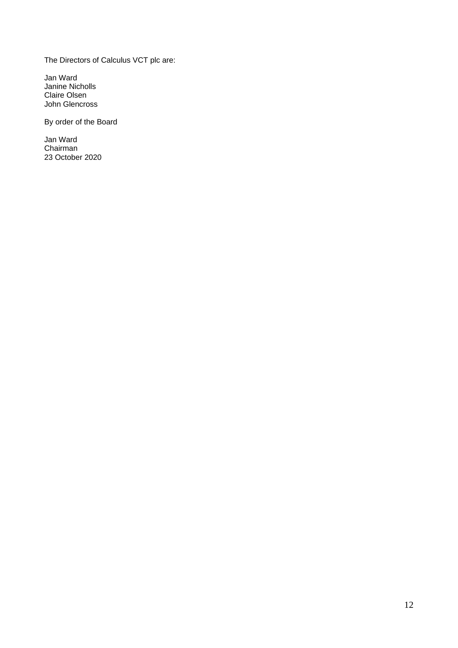The Directors of Calculus VCT plc are:

Jan Ward Janine Nicholls Claire Olsen John Glencross

By order of the Board

Jan Ward **Chairman** 23 October 2020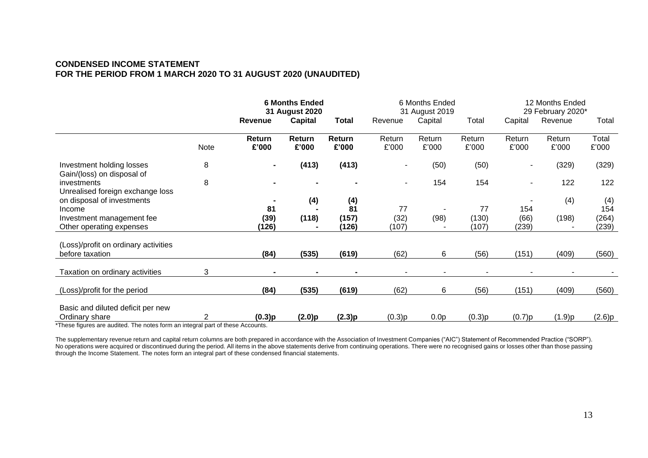# **CONDENSED INCOME STATEMENT FOR THE PERIOD FROM 1 MARCH 2020 TO 31 AUGUST 2020 (UNAUDITED)**

|                                                                 |      | <b>6 Months Ended</b><br>31 August 2020 |                 | 6 Months Ended<br>31 August 2019 |                     |                  | 12 Months Ended<br>29 February 2020* |                      |                 |                       |
|-----------------------------------------------------------------|------|-----------------------------------------|-----------------|----------------------------------|---------------------|------------------|--------------------------------------|----------------------|-----------------|-----------------------|
|                                                                 |      | <b>Revenue</b>                          | <b>Capital</b>  | Total                            | Revenue             | Capital          | Total                                | Capital              | Revenue         | Total                 |
|                                                                 | Note | Return<br>£'000                         | Return<br>£'000 | Return<br>£'000                  | Return<br>£'000     | Return<br>£'000  | Return<br>£'000                      | Return<br>£'000      | Return<br>£'000 | Total<br>£'000        |
| Investment holding losses<br>Gain/(loss) on disposal of         | 8    |                                         | (413)           | (413)                            |                     | (50)             | (50)                                 |                      | (329)           | (329)                 |
| investments<br>Unrealised foreign exchange loss                 | 8    |                                         |                 |                                  |                     | 154              | 154                                  | ۰                    | 122             | 122                   |
| on disposal of investments                                      |      |                                         | (4)             | (4)                              |                     |                  |                                      |                      | (4)             | (4)                   |
| Income<br>Investment management fee<br>Other operating expenses |      | 81<br>(39)<br>(126)                     | (118)           | 81<br>(157)<br>(126)             | 77<br>(32)<br>(107) | (98)             | 77<br>(130)<br>(107)                 | 154<br>(66)<br>(239) | (198)           | 154<br>(264)<br>(239) |
| (Loss)/profit on ordinary activities<br>before taxation         |      | (84)                                    | (535)           | (619)                            | (62)                | 6                | (56)                                 | (151)                | (409)           | (560)                 |
| Taxation on ordinary activities                                 | 3    |                                         |                 |                                  |                     |                  |                                      |                      |                 |                       |
| (Loss)/profit for the period                                    |      | (84)                                    | (535)           | (619)                            | (62)                | 6                | (56)                                 | (151)                | (409)           | (560)                 |
| Basic and diluted deficit per new<br>Ordinary share             | 2    | (0.3)p                                  | (2.0)p          | (2.3)p                           | (0.3)p              | 0.0 <sub>p</sub> | (0.3)p                               | (0.7)p               | (1.9)p          | (2.6)p                |

\*These figures are audited. The notes form an integral part of these Accounts.

The supplementary revenue return and capital return columns are both prepared in accordance with the Association of Investment Companies ("AIC") Statement of Recommended Practice ("SORP"). No operations were acquired or discontinued during the period. All items in the above statements derive from continuing operations. There were no recognised gains or losses other than those passing No operations were acqui through the Income Statement. The notes form an integral part of these condensed financial statements.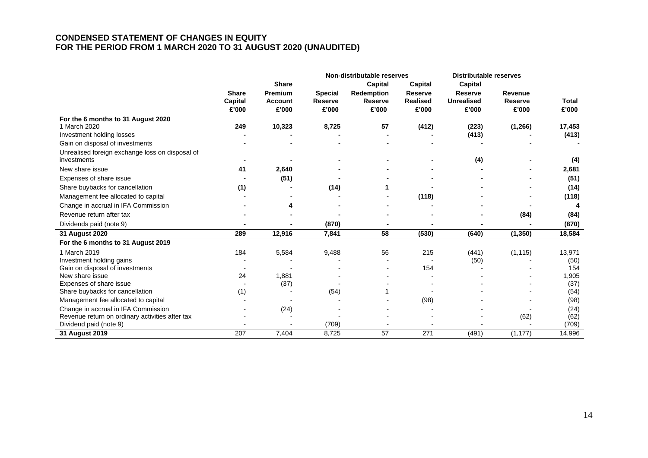# **CONDENSED STATEMENT OF CHANGES IN EQUITY FOR THE PERIOD FROM 1 MARCH 2020 TO 31 AUGUST 2020 (UNAUDITED)**

|                                                 |              |                |                | Non-distributable reserves |                 | <b>Distributable reserves</b> |                |              |
|-------------------------------------------------|--------------|----------------|----------------|----------------------------|-----------------|-------------------------------|----------------|--------------|
|                                                 |              | <b>Share</b>   |                | <b>Capital</b>             | Capital         | Capital                       |                |              |
|                                                 | <b>Share</b> | <b>Premium</b> | <b>Special</b> | Redemption                 | <b>Reserve</b>  | <b>Reserve</b>                | Revenue        |              |
|                                                 | Capital      | <b>Account</b> | <b>Reserve</b> | <b>Reserve</b>             | <b>Realised</b> | <b>Unrealised</b>             | <b>Reserve</b> | <b>Total</b> |
|                                                 | £'000        | £'000          | £'000          | £'000                      | £'000           | £'000                         | £'000          | £'000        |
| For the 6 months to 31 August 2020              |              |                |                |                            |                 |                               |                |              |
| 1 March 2020                                    | 249          | 10,323         | 8,725          | 57                         | (412)           | (223)                         | (1, 266)       | 17,453       |
| Investment holding losses                       |              |                |                |                            |                 | (413)                         |                | (413)        |
| Gain on disposal of investments                 |              |                |                |                            |                 |                               |                |              |
| Unrealised foreign exchange loss on disposal of |              |                |                |                            |                 |                               |                |              |
| investments                                     |              |                |                |                            |                 | (4)                           |                | (4)          |
| New share issue                                 | 41           | 2,640          |                |                            |                 |                               |                | 2,681        |
| Expenses of share issue                         |              | (51)           |                |                            |                 |                               |                | (51)         |
| Share buybacks for cancellation                 | (1)          |                | (14)           |                            |                 |                               |                | (14)         |
| Management fee allocated to capital             |              |                |                |                            | (118)           |                               |                | (118)        |
| Change in accrual in IFA Commission             |              | 4              |                |                            |                 |                               |                |              |
| Revenue return after tax                        |              |                |                |                            |                 |                               | (84)           | (84)         |
| Dividends paid (note 9)                         |              |                | (870)          |                            |                 |                               |                | (870)        |
| 31 August 2020                                  | 289          | 12,916         | 7,841          | 58                         | (530)           | (640)                         | (1, 350)       | 18,584       |
| For the 6 months to 31 August 2019              |              |                |                |                            |                 |                               |                |              |
| 1 March 2019                                    | 184          | 5,584          | 9,488          | 56                         | 215             | (441)                         | (1, 115)       | 13,971       |
| Investment holding gains                        |              |                |                |                            |                 | (50)                          |                | (50)         |
| Gain on disposal of investments                 |              |                |                |                            | 154             |                               |                | 154          |
| New share issue                                 | 24           | 1,881          |                |                            |                 |                               |                | 1,905        |
| Expenses of share issue                         |              | (37)           |                |                            |                 |                               |                | (37)         |
| Share buybacks for cancellation                 | (1)          |                | (54)           |                            |                 |                               |                | (54)         |
| Management fee allocated to capital             |              |                |                |                            | (98)            |                               |                | (98)         |
| Change in accrual in IFA Commission             |              | (24)           |                |                            |                 |                               |                | (24)         |
| Revenue return on ordinary activities after tax |              |                |                |                            |                 |                               | (62)           | (62)         |
| Dividend paid (note 9)                          |              |                | (709)          |                            |                 |                               |                | (709)        |
| 31 August 2019                                  | 207          | 7,404          | 8,725          | 57                         | 271             | (491)                         | (1, 177)       | 14,996       |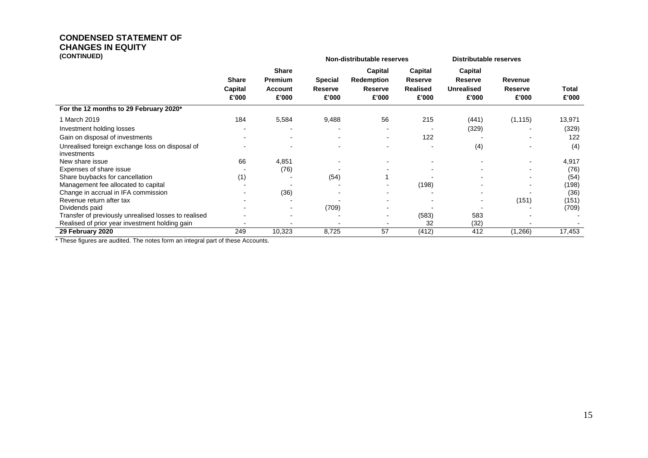# **CONDENSED STATEMENT OF CHANGES IN EQUITY**<br> **CONTINUED**

| (CONTINUED)                                                    | Non-distributable reserves       |                                                           |                                    | <b>Distributable reserves</b>                    |                                                       |                                                         |                                    |                |
|----------------------------------------------------------------|----------------------------------|-----------------------------------------------------------|------------------------------------|--------------------------------------------------|-------------------------------------------------------|---------------------------------------------------------|------------------------------------|----------------|
|                                                                | <b>Share</b><br>Capital<br>£'000 | <b>Share</b><br><b>Premium</b><br><b>Account</b><br>£'000 | <b>Special</b><br>Reserve<br>£'000 | Capital<br>Redemption<br><b>Reserve</b><br>£'000 | Capital<br><b>Reserve</b><br><b>Realised</b><br>£'000 | <b>Capital</b><br>Reserve<br><b>Unrealised</b><br>£'000 | Revenue<br><b>Reserve</b><br>£'000 | Total<br>£'000 |
| For the 12 months to 29 February 2020*                         |                                  |                                                           |                                    |                                                  |                                                       |                                                         |                                    |                |
| 1 March 2019                                                   | 184                              | 5,584                                                     | 9,488                              | 56                                               | 215                                                   | (441)                                                   | (1, 115)                           | 13,971         |
| Investment holding losses                                      |                                  |                                                           |                                    |                                                  |                                                       | (329)                                                   |                                    | (329)          |
| Gain on disposal of investments                                |                                  |                                                           |                                    |                                                  | 122                                                   |                                                         |                                    | 122            |
| Unrealised foreign exchange loss on disposal of<br>investments |                                  |                                                           |                                    |                                                  |                                                       | (4)                                                     |                                    | (4)            |
| New share issue                                                | 66                               | 4,851                                                     |                                    |                                                  |                                                       |                                                         |                                    | 4,917          |
| Expenses of share issue                                        |                                  | (76)                                                      |                                    |                                                  |                                                       |                                                         |                                    | (76)           |
| Share buybacks for cancellation                                | (1)                              |                                                           | (54)                               |                                                  |                                                       |                                                         |                                    | (54)           |
| Management fee allocated to capital                            |                                  |                                                           |                                    |                                                  | (198)                                                 |                                                         |                                    | (198)          |
| Change in accrual in IFA commission                            |                                  | (36)                                                      |                                    |                                                  |                                                       |                                                         |                                    | (36)           |
| Revenue return after tax                                       |                                  |                                                           |                                    |                                                  |                                                       | $\blacksquare$                                          | (151)                              | (151)          |
| Dividends paid                                                 |                                  | $\overline{\phantom{0}}$                                  | (709)                              |                                                  |                                                       |                                                         |                                    | (709)          |
| Transfer of previously unrealised losses to realised           |                                  |                                                           |                                    |                                                  | (583)                                                 | 583                                                     |                                    |                |
| Realised of prior year investment holding gain                 |                                  |                                                           |                                    |                                                  | 32                                                    | (32)                                                    |                                    |                |
| 29 February 2020                                               | 249                              | 10,323                                                    | 8,725                              | 57                                               | (412)                                                 | 412                                                     | (1,266)                            | 17,453         |

\* These figures are audited. The notes form an integral part of these Accounts.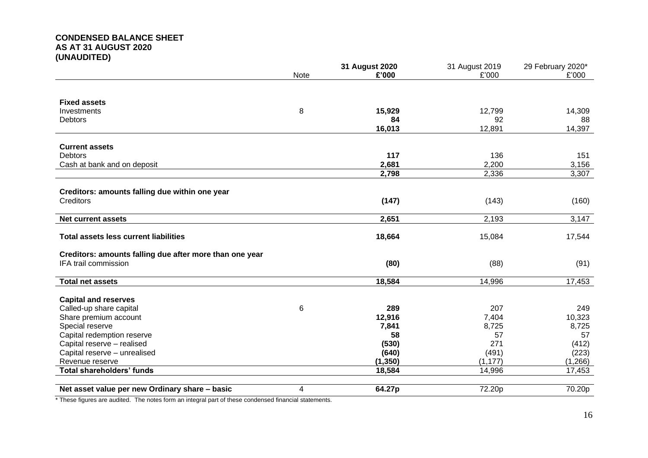# **CONDENSED BALANCE SHEET AS AT 31 AUGUST 2020 (UNAUDITED)**

|                                                         |             | 31 August 2020 | 31 August 2019 | 29 February 2020* |
|---------------------------------------------------------|-------------|----------------|----------------|-------------------|
|                                                         | <b>Note</b> | £'000          | £'000          | £'000             |
|                                                         |             |                |                |                   |
| <b>Fixed assets</b>                                     |             |                |                |                   |
|                                                         |             |                | 12,799         |                   |
| Investments<br><b>Debtors</b>                           | 8           | 15,929<br>84   | 92             | 14,309<br>88      |
|                                                         |             | 16,013         | 12,891         | 14,397            |
|                                                         |             |                |                |                   |
| <b>Current assets</b>                                   |             |                |                |                   |
| <b>Debtors</b>                                          |             | 117            | 136            | 151               |
| Cash at bank and on deposit                             |             | 2,681          | 2,200          | 3,156             |
|                                                         |             | 2,798          | 2,336          | 3,307             |
|                                                         |             |                |                |                   |
| Creditors: amounts falling due within one year          |             |                |                |                   |
| Creditors                                               |             | (147)          | (143)          | (160)             |
|                                                         |             |                |                |                   |
| <b>Net current assets</b>                               |             | 2,651          | 2,193          | 3,147             |
|                                                         |             |                |                |                   |
| <b>Total assets less current liabilities</b>            |             | 18,664         | 15,084         | 17,544            |
| Creditors: amounts falling due after more than one year |             |                |                |                   |
| IFA trail commission                                    |             | (80)           | (88)           | (91)              |
|                                                         |             |                |                |                   |
| <b>Total net assets</b>                                 |             | 18,584         | 14,996         | 17,453            |
|                                                         |             |                |                |                   |
| <b>Capital and reserves</b>                             |             |                |                |                   |
| Called-up share capital                                 | 6           | 289            | 207            | 249               |
| Share premium account                                   |             | 12,916         | 7,404          | 10,323            |
| Special reserve                                         |             | 7,841          | 8,725          | 8,725             |
| Capital redemption reserve                              |             | 58             | 57             | 57                |
| Capital reserve - realised                              |             | (530)          | 271            | (412)             |
| Capital reserve - unrealised                            |             | (640)          | (491)          | (223)             |
| Revenue reserve                                         |             | (1, 350)       | (1, 177)       | (1,266)           |
| <b>Total shareholders' funds</b>                        |             | 18,584         | 14,996         | 17,453            |
|                                                         |             |                |                |                   |
| Net asset value per new Ordinary share - basic          | 4           | 64.27p         | 72.20p         | 70.20p            |

\* These figures are audited. The notes form an integral part of these condensed financial statements.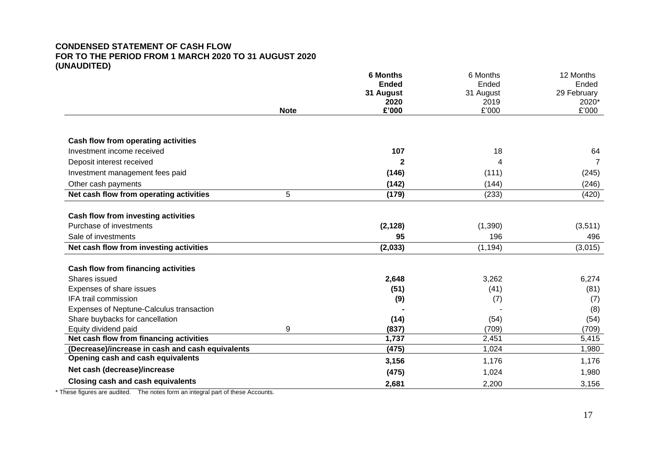# **CONDENSED STATEMENT OF CASH FLOW FOR TO THE PERIOD FROM 1 MARCH 2020 TO 31 AUGUST 2020 (UNAUDITED)**

|                                                  |             | <b>6 Months</b> | 6 Months  | 12 Months      |
|--------------------------------------------------|-------------|-----------------|-----------|----------------|
|                                                  |             | <b>Ended</b>    | Ended     | Ended          |
|                                                  |             | 31 August       | 31 August | 29 February    |
|                                                  |             | 2020            | 2019      | 2020*          |
|                                                  | <b>Note</b> | £'000           | £'000     | £'000          |
| Cash flow from operating activities              |             |                 |           |                |
| Investment income received                       |             | 107             | 18        | 64             |
| Deposit interest received                        |             | 2               | 4         | $\overline{7}$ |
| Investment management fees paid                  |             | (146)           | (111)     | (245)          |
| Other cash payments                              |             | (142)           | (144)     | (246)          |
| Net cash flow from operating activities          | 5           | (179)           | (233)     | (420)          |
| Cash flow from investing activities              |             |                 |           |                |
| Purchase of investments                          |             | (2, 128)        | (1,390)   | (3,511)        |
| Sale of investments                              |             | 95              | 196       | 496            |
| Net cash flow from investing activities          |             | (2,033)         | (1, 194)  | (3,015)        |
| <b>Cash flow from financing activities</b>       |             |                 |           |                |
| Shares issued                                    |             | 2,648           | 3,262     | 6,274          |
| Expenses of share issues                         |             | (51)            | (41)      | (81)           |
| <b>IFA trail commission</b>                      |             | (9)             | (7)       | (7)            |
| Expenses of Neptune-Calculus transaction         |             |                 |           | (8)            |
| Share buybacks for cancellation                  |             | (14)            | (54)      | (54)           |
| Equity dividend paid                             | 9           | (837)           | (709)     | (709)          |
| Net cash flow from financing activities          |             | 1,737           | 2,451     | 5,415          |
| (Decrease)/increase in cash and cash equivalents |             | (475)           | 1,024     | 1,980          |
| Opening cash and cash equivalents                |             | 3,156           | 1,176     | 1,176          |
| Net cash (decrease)/increase                     |             | (475)           | 1,024     | 1,980          |
| <b>Closing cash and cash equivalents</b>         |             | 2,681           | 2,200     | 3,156          |

\* These figures are audited. The notes form an integral part of these Accounts.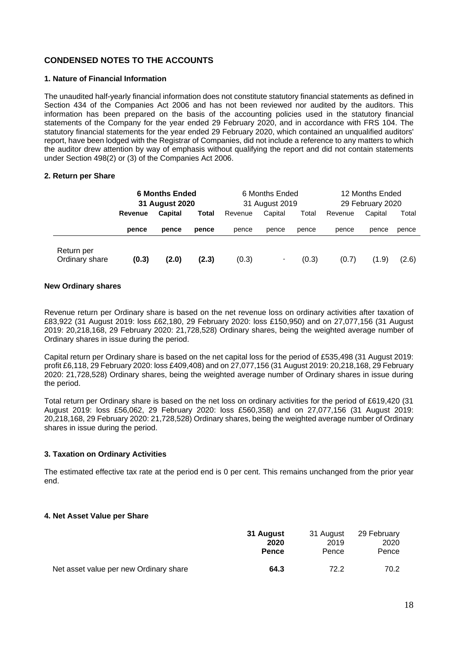# **CONDENSED NOTES TO THE ACCOUNTS**

# **1. Nature of Financial Information**

The unaudited half-yearly financial information does not constitute statutory financial statements as defined in Section 434 of the Companies Act 2006 and has not been reviewed nor audited by the auditors. This information has been prepared on the basis of the accounting policies used in the statutory financial statements of the Company for the year ended 29 February 2020, and in accordance with FRS 104. The statutory financial statements for the year ended 29 February 2020, which contained an unqualified auditors' report, have been lodged with the Registrar of Companies, did not include a reference to any matters to which the auditor drew attention by way of emphasis without qualifying the report and did not contain statements under Section 498(2) or (3) of the Companies Act 2006.

# **2. Return per Share**

|                              | <b>6 Months Ended</b><br>31 August 2020 |         |       | 6 Months Ended<br>31 August 2019 |                |       | 12 Months Ended<br>29 February 2020 |         |       |
|------------------------------|-----------------------------------------|---------|-------|----------------------------------|----------------|-------|-------------------------------------|---------|-------|
|                              | Revenue                                 | Capital | Total | Revenue                          | Capital        | Total | Revenue                             | Capital | Total |
|                              | pence                                   | pence   | pence | pence                            | pence          | pence | pence                               | pence   | pence |
| Return per<br>Ordinary share | (0.3)                                   | (2.0)   | (2.3) | (0.3)                            | $\blacksquare$ | (0.3) | (0.7)                               | (1.9)   | (2.6) |

# **New Ordinary shares**

Revenue return per Ordinary share is based on the net revenue loss on ordinary activities after taxation of £83,922 (31 August 2019: loss £62,180, 29 February 2020: loss £150,950) and on 27,077,156 (31 August 2019: 20,218,168, 29 February 2020: 21,728,528) Ordinary shares, being the weighted average number of Ordinary shares in issue during the period.

Capital return per Ordinary share is based on the net capital loss for the period of £535,498 (31 August 2019: profit £6,118, 29 February 2020: loss £409,408) and on 27,077,156 (31 August 2019: 20,218,168, 29 February 2020: 21,728,528) Ordinary shares, being the weighted average number of Ordinary shares in issue during the period.

Total return per Ordinary share is based on the net loss on ordinary activities for the period of £619,420 (31 August 2019: loss £56,062, 29 February 2020: loss £560,358) and on 27,077,156 (31 August 2019: 20,218,168, 29 February 2020: 21,728,528) Ordinary shares, being the weighted average number of Ordinary shares in issue during the period.

# **3. Taxation on Ordinary Activities**

The estimated effective tax rate at the period end is 0 per cent. This remains unchanged from the prior year end.

#### **4. Net Asset Value per Share**

|                                        | <b>31 August</b> | 31 August | 29 February |
|----------------------------------------|------------------|-----------|-------------|
|                                        | 2020             | 2019      | 2020        |
|                                        | <b>Pence</b>     | Pence     | Pence       |
| Net asset value per new Ordinary share | 64.3             | 72.2      | 70.2        |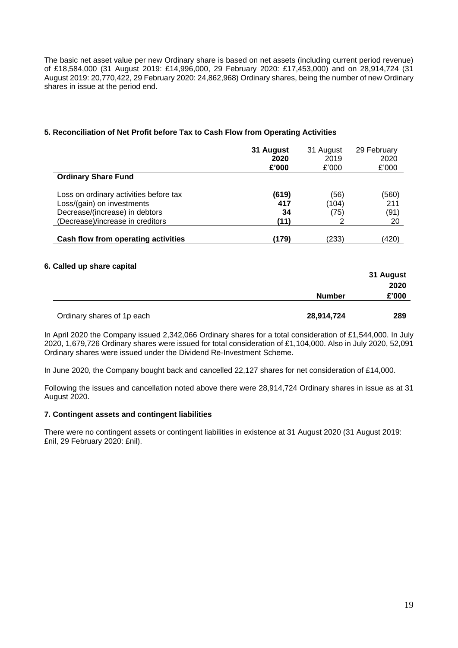The basic net asset value per new Ordinary share is based on net assets (including current period revenue) of £18,584,000 (31 August 2019: £14,996,000, 29 February 2020: £17,453,000) and on 28,914,724 (31 August 2019: 20,770,422, 29 February 2020: 24,862,968) Ordinary shares, being the number of new Ordinary shares in issue at the period end.

# **5. Reconciliation of Net Profit before Tax to Cash Flow from Operating Activities**

|                                        | 31 August | 31 August | 29 February |
|----------------------------------------|-----------|-----------|-------------|
|                                        | 2020      | 2019      | 2020        |
|                                        | £'000     | £'000     | £'000       |
| <b>Ordinary Share Fund</b>             |           |           |             |
| Loss on ordinary activities before tax | (619)     | (56)      | (560)       |
| Loss/(gain) on investments             | 417       | (104)     | 211         |
| Decrease/(increase) in debtors         | 34        | (75)      | (91)        |
| (Decrease)/increase in creditors       | (11)      |           | 20          |
| Cash flow from operating activities    | (179)     | (233)     | (420)       |

# **6. Called up share capital**

|                            |               | 31 August |
|----------------------------|---------------|-----------|
|                            |               | 2020      |
|                            | <b>Number</b> | £'000     |
|                            |               |           |
| Ordinary shares of 1p each | 28,914,724    | 289       |

In April 2020 the Company issued 2,342,066 Ordinary shares for a total consideration of £1,544,000. In July 2020, 1,679,726 Ordinary shares were issued for total consideration of £1,104,000. Also in July 2020, 52,091 Ordinary shares were issued under the Dividend Re-Investment Scheme.

In June 2020, the Company bought back and cancelled 22,127 shares for net consideration of £14,000.

Following the issues and cancellation noted above there were 28,914,724 Ordinary shares in issue as at 31 August 2020.

# **7. Contingent assets and contingent liabilities**

There were no contingent assets or contingent liabilities in existence at 31 August 2020 (31 August 2019: £nil, 29 February 2020: £nil).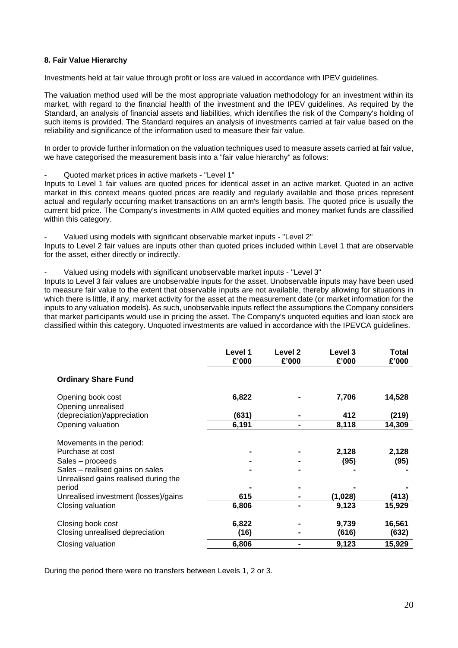# **8. Fair Value Hierarchy**

Investments held at fair value through profit or loss are valued in accordance with IPEV guidelines.

The valuation method used will be the most appropriate valuation methodology for an investment within its market, with regard to the financial health of the investment and the IPEV guidelines. As required by the Standard, an analysis of financial assets and liabilities, which identifies the risk of the Company's holding of such items is provided. The Standard requires an analysis of investments carried at fair value based on the reliability and significance of the information used to measure their fair value.

In order to provide further information on the valuation techniques used to measure assets carried at fair value, we have categorised the measurement basis into a "fair value hierarchy" as follows:

- Quoted market prices in active markets - "Level 1"

Inputs to Level 1 fair values are quoted prices for identical asset in an active market. Quoted in an active market in this context means quoted prices are readily and regularly available and those prices represent actual and regularly occurring market transactions on an arm's length basis. The quoted price is usually the current bid price. The Company's investments in AIM quoted equities and money market funds are classified within this category.

Valued using models with significant observable market inputs - "Level 2"

Inputs to Level 2 fair values are inputs other than quoted prices included within Level 1 that are observable for the asset, either directly or indirectly.

- Valued using models with significant unobservable market inputs - "Level 3"

Inputs to Level 3 fair values are unobservable inputs for the asset. Unobservable inputs may have been used to measure fair value to the extent that observable inputs are not available, thereby allowing for situations in which there is little, if any, market activity for the asset at the measurement date (or market information for the inputs to any valuation models). As such, unobservable inputs reflect the assumptions the Company considers that market participants would use in pricing the asset. The Company's unquoted equities and loan stock are classified within this category. Unquoted investments are valued in accordance with the IPEVCA guidelines.

|                                                                                                                                             | Level 1<br>£'000 | Level 2<br>£'000 | Level 3<br>£'000 | Total<br>£'000  |
|---------------------------------------------------------------------------------------------------------------------------------------------|------------------|------------------|------------------|-----------------|
| <b>Ordinary Share Fund</b>                                                                                                                  |                  |                  |                  |                 |
| Opening book cost<br>Opening unrealised                                                                                                     | 6,822            |                  | 7,706            | 14,528          |
| (depreciation)/appreciation                                                                                                                 | (631)            |                  | 412              | (219)           |
| Opening valuation                                                                                                                           | 6,191            |                  | 8,118            | 14,309          |
| Movements in the period:<br>Purchase at cost<br>Sales - proceeds<br>Sales - realised gains on sales<br>Unrealised gains realised during the |                  |                  | 2,128<br>(95)    | 2,128<br>(95)   |
| period                                                                                                                                      |                  |                  |                  |                 |
| Unrealised investment (losses)/gains                                                                                                        | 615              |                  | (1,028)          | (413)           |
| Closing valuation                                                                                                                           | 6,806            |                  | 9,123            | 15,929          |
| Closing book cost<br>Closing unrealised depreciation                                                                                        | 6,822<br>(16)    |                  | 9,739<br>(616)   | 16,561<br>(632) |
| Closing valuation                                                                                                                           | 6,806            |                  | 9,123            | 15,929          |

During the period there were no transfers between Levels 1, 2 or 3.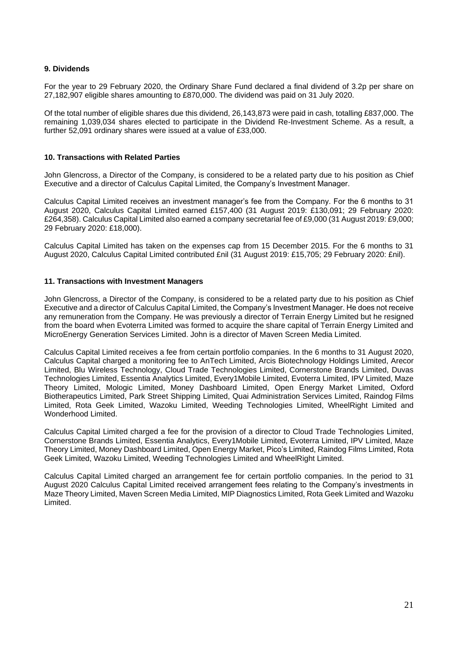# **9. Dividends**

For the year to 29 February 2020, the Ordinary Share Fund declared a final dividend of 3.2p per share on 27,182,907 eligible shares amounting to £870,000. The dividend was paid on 31 July 2020.

Of the total number of eligible shares due this dividend, 26,143,873 were paid in cash, totalling £837,000. The remaining 1,039,034 shares elected to participate in the Dividend Re-Investment Scheme. As a result, a further 52,091 ordinary shares were issued at a value of £33,000.

# **10. Transactions with Related Parties**

John Glencross, a Director of the Company, is considered to be a related party due to his position as Chief Executive and a director of Calculus Capital Limited, the Company's Investment Manager.

Calculus Capital Limited receives an investment manager's fee from the Company. For the 6 months to 31 August 2020, Calculus Capital Limited earned £157,400 (31 August 2019: £130,091; 29 February 2020: £264,358). Calculus Capital Limited also earned a company secretarial fee of £9,000 (31 August 2019: £9,000; 29 February 2020: £18,000).

Calculus Capital Limited has taken on the expenses cap from 15 December 2015. For the 6 months to 31 August 2020, Calculus Capital Limited contributed £nil (31 August 2019: £15,705; 29 February 2020: £nil).

#### **11. Transactions with Investment Managers**

John Glencross, a Director of the Company, is considered to be a related party due to his position as Chief Executive and a director of Calculus Capital Limited, the Company's Investment Manager. He does not receive any remuneration from the Company. He was previously a director of Terrain Energy Limited but he resigned from the board when Evoterra Limited was formed to acquire the share capital of Terrain Energy Limited and MicroEnergy Generation Services Limited. John is a director of Maven Screen Media Limited.

Calculus Capital Limited receives a fee from certain portfolio companies. In the 6 months to 31 August 2020, Calculus Capital charged a monitoring fee to AnTech Limited, Arcis Biotechnology Holdings Limited, Arecor Limited, Blu Wireless Technology, Cloud Trade Technologies Limited, Cornerstone Brands Limited, Duvas Technologies Limited, Essentia Analytics Limited, Every1Mobile Limited, Evoterra Limited, IPV Limited, Maze Theory Limited, Mologic Limited, Money Dashboard Limited, Open Energy Market Limited, Oxford Biotherapeutics Limited, Park Street Shipping Limited, Quai Administration Services Limited, Raindog Films Limited, Rota Geek Limited, Wazoku Limited, Weeding Technologies Limited, WheelRight Limited and Wonderhood Limited.

Calculus Capital Limited charged a fee for the provision of a director to Cloud Trade Technologies Limited, Cornerstone Brands Limited, Essentia Analytics, Every1Mobile Limited, Evoterra Limited, IPV Limited, Maze Theory Limited, Money Dashboard Limited, Open Energy Market, Pico's Limited, Raindog Films Limited, Rota Geek Limited, Wazoku Limited, Weeding Technologies Limited and WheelRight Limited.

Calculus Capital Limited charged an arrangement fee for certain portfolio companies. In the period to 31 August 2020 Calculus Capital Limited received arrangement fees relating to the Company's investments in Maze Theory Limited, Maven Screen Media Limited, MIP Diagnostics Limited, Rota Geek Limited and Wazoku Limited.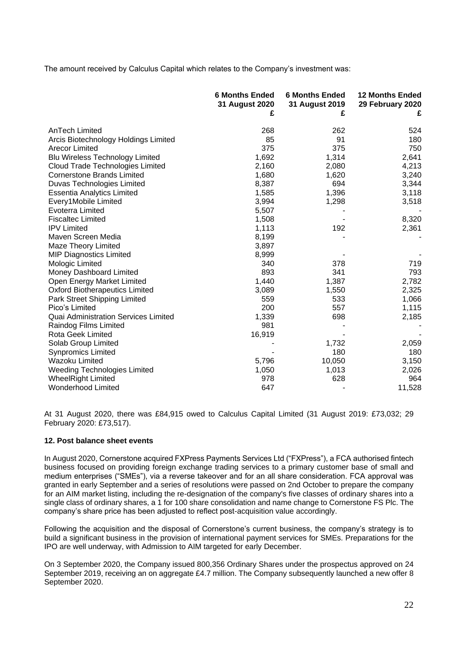The amount received by Calculus Capital which relates to the Company's investment was:

|                                             | <b>6 Months Ended</b><br>31 August 2020<br>£ | <b>6 Months Ended</b><br>31 August 2019<br>£ | <b>12 Months Ended</b><br>29 February 2020<br>£ |
|---------------------------------------------|----------------------------------------------|----------------------------------------------|-------------------------------------------------|
| AnTech Limited                              | 268                                          | 262                                          | 524                                             |
| Arcis Biotechnology Holdings Limited        | 85                                           | 91                                           | 180                                             |
| Arecor Limited                              | 375                                          | 375                                          | 750                                             |
| <b>Blu Wireless Technology Limited</b>      | 1,692                                        | 1,314                                        | 2,641                                           |
| <b>Cloud Trade Technologies Limited</b>     | 2,160                                        | 2,080                                        | 4,213                                           |
| <b>Cornerstone Brands Limited</b>           | 1,680                                        | 1,620                                        | 3,240                                           |
| Duvas Technologies Limited                  | 8,387                                        | 694                                          | 3,344                                           |
| <b>Essentia Analytics Limited</b>           | 1,585                                        | 1,396                                        | 3,118                                           |
| Every1Mobile Limited                        | 3,994                                        | 1,298                                        | 3,518                                           |
| Evoterra Limited                            | 5,507                                        |                                              |                                                 |
| <b>Fiscaltec Limited</b>                    | 1,508                                        |                                              | 8,320                                           |
| <b>IPV Limited</b>                          | 1,113                                        | 192                                          | 2,361                                           |
| Maven Screen Media                          | 8,199                                        |                                              |                                                 |
| Maze Theory Limited                         | 3,897                                        |                                              |                                                 |
| <b>MIP Diagnostics Limited</b>              | 8,999                                        |                                              |                                                 |
| Mologic Limited                             | 340                                          | 378                                          | 719                                             |
| Money Dashboard Limited                     | 893                                          | 341                                          | 793                                             |
| Open Energy Market Limited                  | 1,440                                        | 1,387                                        | 2,782                                           |
| <b>Oxford Biotherapeutics Limited</b>       | 3,089                                        | 1,550                                        | 2,325                                           |
| Park Street Shipping Limited                | 559                                          | 533                                          | 1,066                                           |
| Pico's Limited                              | 200                                          | 557                                          | 1,115                                           |
| <b>Quai Administration Services Limited</b> | 1,339                                        | 698                                          | 2,185                                           |
| Raindog Films Limited                       | 981                                          |                                              |                                                 |
| <b>Rota Geek Limited</b>                    | 16,919                                       |                                              |                                                 |
| Solab Group Limited                         |                                              | 1,732                                        | 2,059                                           |
| <b>Synpromics Limited</b>                   |                                              | 180                                          | 180                                             |
| Wazoku Limited                              | 5,796                                        | 10,050                                       | 3,150                                           |
| <b>Weeding Technologies Limited</b>         | 1,050                                        | 1,013                                        | 2,026                                           |
| <b>WheelRight Limited</b>                   | 978                                          | 628                                          | 964                                             |
| <b>Wonderhood Limited</b>                   | 647                                          |                                              | 11,528                                          |

At 31 August 2020, there was £84,915 owed to Calculus Capital Limited (31 August 2019: £73,032; 29 February 2020: £73,517).

# **12. Post balance sheet events**

In August 2020, Cornerstone acquired FXPress Payments Services Ltd ("FXPress"), a FCA authorised fintech business focused on providing foreign exchange trading services to a primary customer base of small and medium enterprises ("SMEs"), via a reverse takeover and for an all share consideration. FCA approval was granted in early September and a series of resolutions were passed on 2nd October to prepare the company for an AIM market listing, including the re-designation of the company's five classes of ordinary shares into a single class of ordinary shares, a 1 for 100 share consolidation and name change to Cornerstone FS Plc. The company's share price has been adjusted to reflect post-acquisition value accordingly.

Following the acquisition and the disposal of Cornerstone's current business, the company's strategy is to build a significant business in the provision of international payment services for SMEs. Preparations for the IPO are well underway, with Admission to AIM targeted for early December.

On 3 September 2020, the Company issued 800,356 Ordinary Shares under the prospectus approved on 24 September 2019, receiving an on aggregate £4.7 million. The Company subsequently launched a new offer 8 September 2020.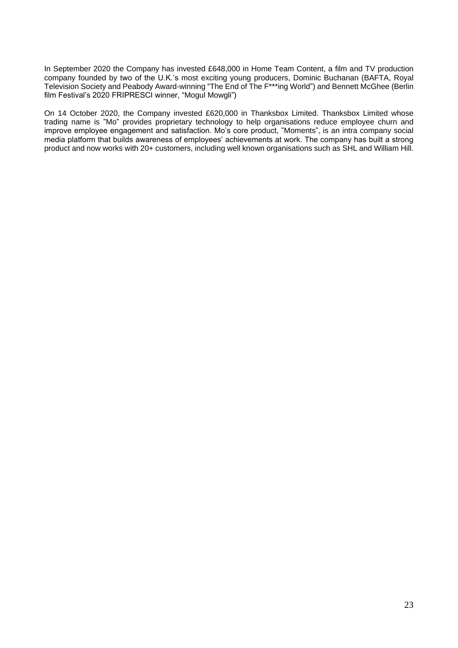In September 2020 the Company has invested £648,000 in Home Team Content, a film and TV production company founded by two of the U.K.'s most exciting young producers, Dominic Buchanan (BAFTA, Royal Television Society and Peabody Award-winning "The End of The F\*\*\*ing World") and Bennett McGhee (Berlin film Festival's 2020 FRIPRESCI winner, "Mogul Mowgli")

On 14 October 2020, the Company invested £620,000 in Thanksbox Limited. Thanksbox Limited whose trading name is "Mo" provides proprietary technology to help organisations reduce employee churn and improve employee engagement and satisfaction. Mo's core product, "Moments", is an intra company social media platform that builds awareness of employees' achievements at work. The company has built a strong product and now works with 20+ customers, including well known organisations such as SHL and William Hill.